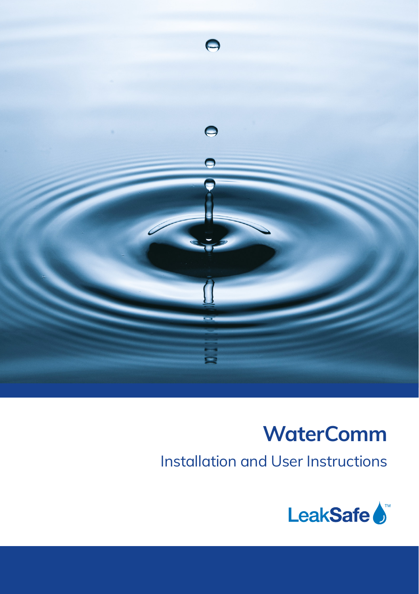

# **WaterComm**

Installation and User Instructions

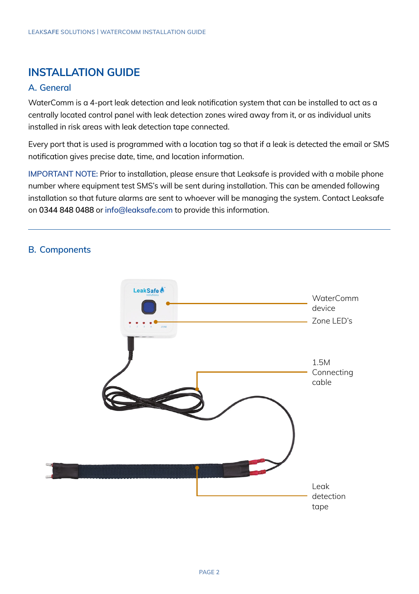## **INSTALLATION GUIDE**

#### **A. General**

WaterComm is a 4-port leak detection and leak notification system that can be installed to act as a centrally located control panel with leak detection zones wired away from it, or as individual units installed in risk areas with leak detection tape connected.

Every port that is used is programmed with a location tag so that if a leak is detected the email or SMS notification gives precise date, time, and location information.

**IMPORTANT NOTE:** Prior to installation, please ensure that Leaksafe is provided with a mobile phone number where equipment test SMS's will be sent during installation. This can be amended following installation so that future alarms are sent to whoever will be managing the system. Contact Leaksafe on **0344 848 0488** or **[info@leaksafe.com](mailto:info@leaksafe.com)** to provide this information.

#### **B. Components**

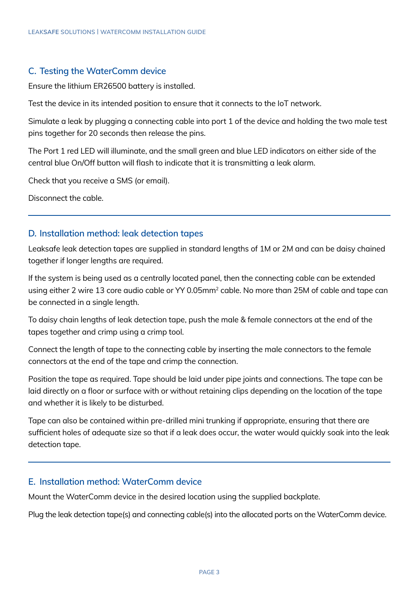#### **C. Testing the WaterComm device**

Ensure the lithium ER26500 battery is installed.

Test the device in its intended position to ensure that it connects to the IoT network.

Simulate a leak by plugging a connecting cable into port 1 of the device and holding the two male test pins together for 20 seconds then release the pins.

The Port 1 red LED will illuminate, and the small green and blue LED indicators on either side of the central blue On/Off button will flash to indicate that it is transmitting a leak alarm.

Check that you receive a SMS (or email).

Disconnect the cable.

#### **D. Installation method: leak detection tapes**

Leaksafe leak detection tapes are supplied in standard lengths of 1M or 2M and can be daisy chained together if longer lengths are required.

If the system is being used as a centrally located panel, then the connecting cable can be extended using either 2 wire 13 core audio cable or YY 0.05mm<sup>2</sup> cable. No more than 25M of cable and tape can be connected in a single length.

To daisy chain lengths of leak detection tape, push the male & female connectors at the end of the tapes together and crimp using a crimp tool.

Connect the length of tape to the connecting cable by inserting the male connectors to the female connectors at the end of the tape and crimp the connection.

Position the tape as required. Tape should be laid under pipe joints and connections. The tape can be laid directly on a floor or surface with or without retaining clips depending on the location of the tape and whether it is likely to be disturbed.

Tape can also be contained within pre-drilled mini trunking if appropriate, ensuring that there are sufficient holes of adequate size so that if a leak does occur, the water would quickly soak into the leak detection tape.

#### **E. Installation method: WaterComm device**

Mount the WaterComm device in the desired location using the supplied backplate.

Plug the leak detection tape(s) and connecting cable(s) into the allocated ports on the WaterComm device.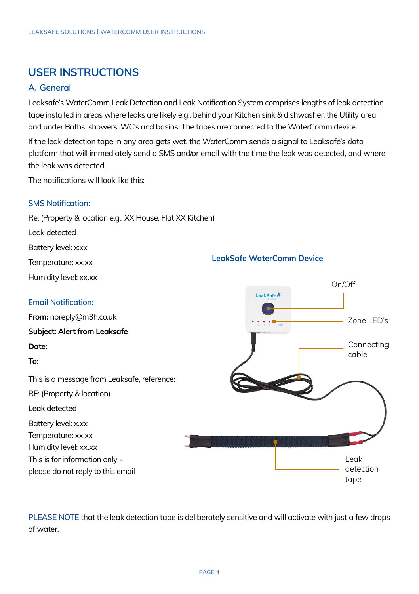### **USER INSTRUCTIONS**

#### **A. General**

Leaksafe's WaterComm Leak Detection and Leak Notification System comprises lengths of leak detection tape installed in areas where leaks are likely e.g., behind your Kitchen sink & dishwasher, the Utility area and under Baths, showers, WC's and basins. The tapes are connected to the WaterComm device.

If the leak detection tape in any area gets wet, the WaterComm sends a signal to Leaksafe's data platform that will immediately send a SMS and/or email with the time the leak was detected, and where the leak was detected.

The notifications will look like this:

#### **SMS Notification:**

Re: (Property & location e.g., XX House, Flat XX Kitchen)

Leak detected

Battery level: x:xx

Temperature: xx.xx

Humidity level: xx.xx

#### **Email Notification:**

**From:** noreply@m3h.co.uk

**Subject: Alert from Leaksafe**

#### **Date:**

**To:** 

This is a message from Leaksafe, reference: RE: (Property & location) **Leak detected** Battery level: x.xx Temperature: xx.xx Humidity level: xx.xx This is for information only please do not reply to this email



**PLEASE NOTE** that the leak detection tape is deliberately sensitive and will activate with just a few drops of water.

#### **LeakSafe WaterComm Device**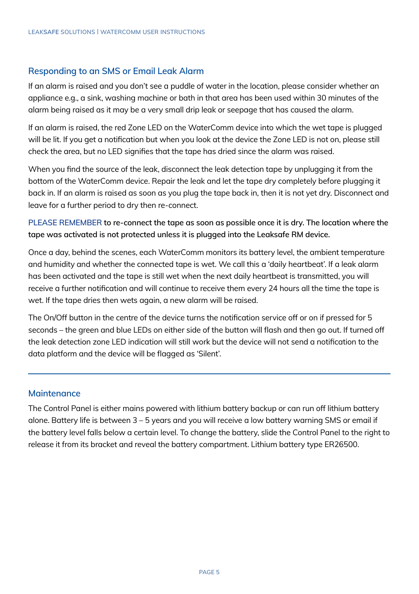#### **Responding to an SMS or Email Leak Alarm**

If an alarm is raised and you don't see a puddle of water in the location, please consider whether an appliance e.g., a sink, washing machine or bath in that area has been used within 30 minutes of the alarm being raised as it may be a very small drip leak or seepage that has caused the alarm.

If an alarm is raised, the red Zone LED on the WaterComm device into which the wet tape is plugged will be lit. If you get a notification but when you look at the device the Zone LED is not on, please still check the area, but no LED signifies that the tape has dried since the alarm was raised.

When you find the source of the leak, disconnect the leak detection tape by unplugging it from the bottom of the WaterComm device. Repair the leak and let the tape dry completely before plugging it back in. If an alarm is raised as soon as you plug the tape back in, then it is not yet dry. Disconnect and leave for a further period to dry then re-connect.

**PLEASE REMEMBER to re-connect the tape as soon as possible once it is dry. The location where the tape was activated is not protected unless it is plugged into the Leaksafe RM device.** 

Once a day, behind the scenes, each WaterComm monitors its battery level, the ambient temperature and humidity and whether the connected tape is wet. We call this a 'daily heartbeat'. If a leak alarm has been activated and the tape is still wet when the next daily heartbeat is transmitted, you will receive a further notification and will continue to receive them every 24 hours all the time the tape is wet. If the tape dries then wets again, a new alarm will be raised.

The On/Off button in the centre of the device turns the notification service off or on if pressed for 5 seconds – the green and blue LEDs on either side of the button will flash and then go out. If turned off the leak detection zone LED indication will still work but the device will not send a notification to the data platform and the device will be flagged as 'Silent'.

#### **Maintenance**

The Control Panel is either mains powered with lithium battery backup or can run off lithium battery alone. Battery life is between 3 – 5 years and you will receive a low battery warning SMS or email if the battery level falls below a certain level. To change the battery, slide the Control Panel to the right to release it from its bracket and reveal the battery compartment. Lithium battery type ER26500.